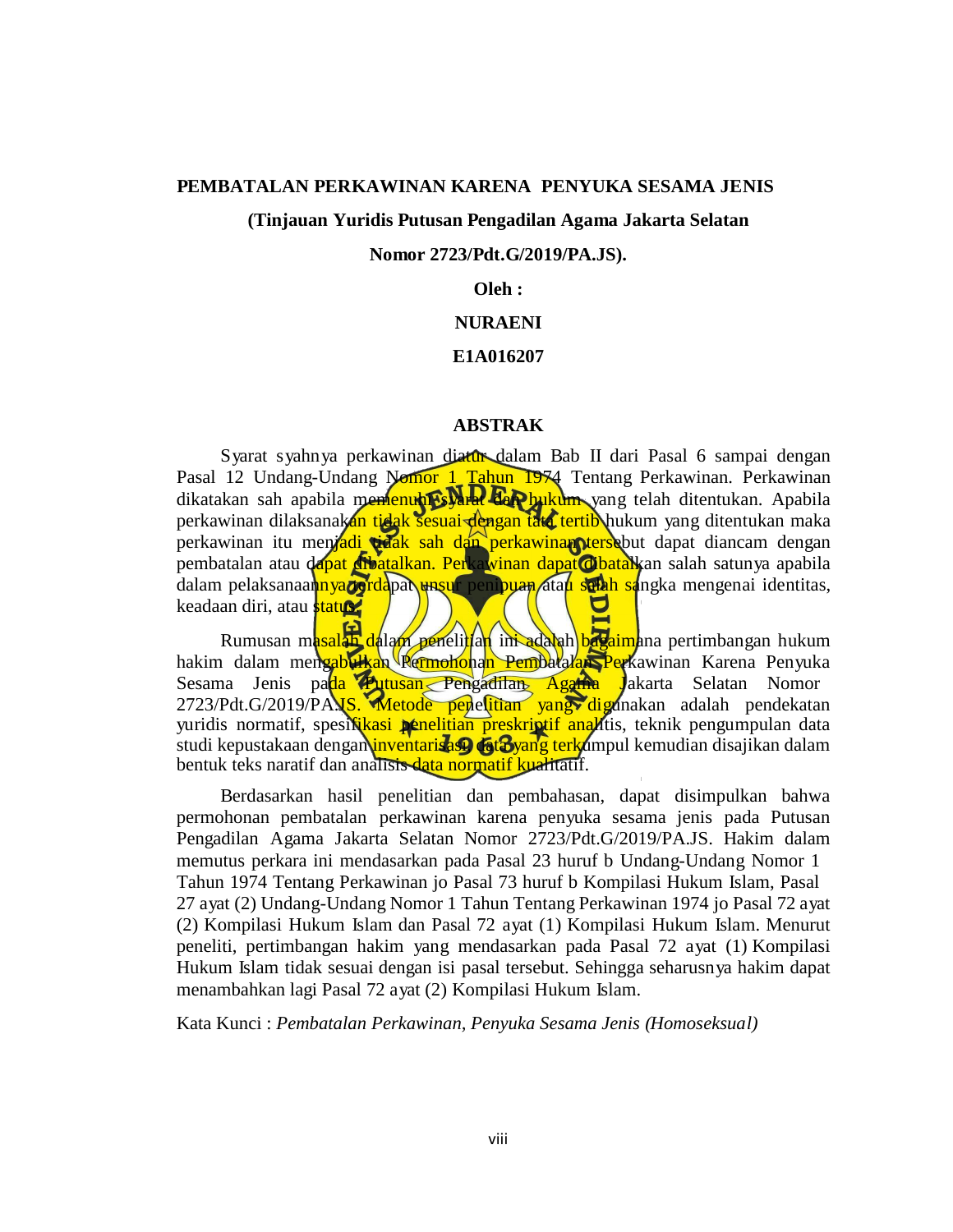#### **PEMBATALAN PERKAWINAN KARENA PENYUKA SESAMA JENIS**

### **(Tinjauan Yuridis Putusan Pengadilan Agama Jakarta Selatan**

### **Nomor 2723/Pdt.G/2019/PA.JS).**

### **Oleh :**

### **NURAENI**

### **E1A016207**

#### **ABSTRAK**

Syarat syahnya perkawinan diatur dalam Bab II dari Pasal 6 sampai dengan Pasal 12 Undang-Undang Nomor 1 Tahun 1974 Tentang Perkawinan. Perkawinan dikatakan sah apabila memenuhi syarat dan hukum yang telah ditentukan. Apabila perkawinan dilaksanakan tidak sesuai dengan tata tertib hukum yang ditentukan maka perkawinan itu menjadi tidak sah dan perkawinan tersebut dapat diancam dengan pembatalan atau dapat dibatalkan. Perkawinan dapat dibatalkan salah satunya apabila dalam pelaksanaan<mark>nya darida</mark>pat unsur penipuan atau salah sangka mengenai identitas, keadaan diri, atau **status.** 

Rumusan masalah dalam penelitian ini adalah bagaimana pertimbangan hukum hakim dalam mengabulkan Permohonan Pembatalan Perkawinan Karena Penyuka Sesama Jenis pada Putusan Pengadilan Agama Jakarta Selatan Nomor 2723/Pdt.G/2019/PA.JS. Metode penelitian yang digunakan adalah pendekatan yuridis normatif, spesi**fikasi penelitian preskriptif anal**itis, teknik pengumpulan data studi kepustakaan dengan inventarisasi, data yang terkumpul kemudian disajikan dalam bentuk teks naratif dan analisis data normatif kualitatif.

Berdasarkan hasil penelitian dan pembahasan, dapat disimpulkan bahwa permohonan pembatalan perkawinan karena penyuka sesama jenis pada Putusan Pengadilan Agama Jakarta Selatan Nomor 2723/Pdt.G/2019/PA.JS. Hakim dalam memutus perkara ini mendasarkan pada Pasal 23 huruf b Undang-Undang Nomor 1 Tahun 1974 Tentang Perkawinan jo Pasal 73 huruf b Kompilasi Hukum Islam, Pasal 27 ayat (2) Undang-Undang Nomor 1 Tahun Tentang Perkawinan 1974 jo Pasal 72 ayat (2) Kompilasi Hukum Islam dan Pasal 72 ayat (1) Kompilasi Hukum Islam. Menurut peneliti, pertimbangan hakim yang mendasarkan pada Pasal 72 ayat (1) Kompilasi Hukum Islam tidak sesuai dengan isi pasal tersebut. Sehingga seharusnya hakim dapat menambahkan lagi Pasal 72 ayat (2) Kompilasi Hukum Islam.

Kata Kunci : *Pembatalan Perkawinan, Penyuka Sesama Jenis (Homoseksual)*